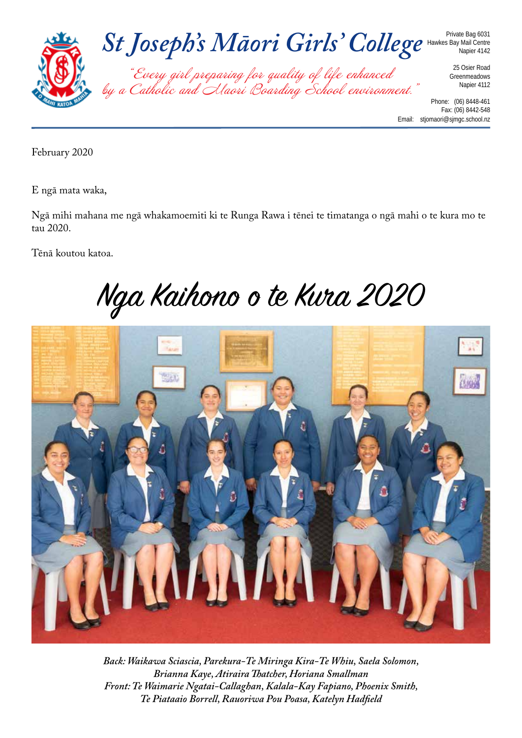

February 2020

E ngā mata waka,

Ngā mihi mahana me ngā whakamoemiti ki te Runga Rawa i tēnei te timatanga o ngā mahi o te kura mo te tau 2020.

Tēnā koutou katoa.

Nga Kaihono o te Kura 2020



*Back: Waikawa Sciascia, Parekura-Te Miringa Kira-Te Whiu, Saela Solomon, Brianna Kaye, Atiraira Thatcher, Horiana Smallman Front: Te Waimarie Ngatai-Callaghan, Kalala-Kay Fapiano, Phoenix Smith, Te Piataaio Borrell, Rauoriwa Pou Poasa, Katelyn Hadfield*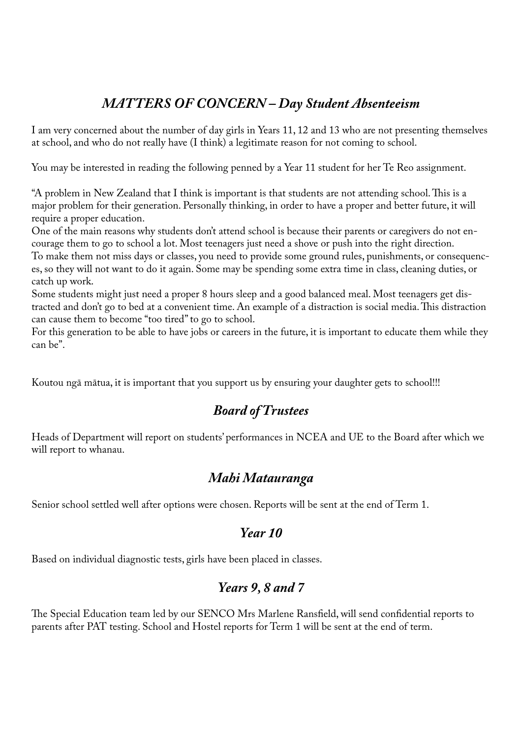# *MATTERS OF CONCERN – Day Student Absenteeism*

I am very concerned about the number of day girls in Years 11, 12 and 13 who are not presenting themselves at school, and who do not really have (I think) a legitimate reason for not coming to school.

You may be interested in reading the following penned by a Year 11 student for her Te Reo assignment.

"A problem in New Zealand that I think is important is that students are not attending school. This is a major problem for their generation. Personally thinking, in order to have a proper and better future, it will require a proper education.

One of the main reasons why students don't attend school is because their parents or caregivers do not encourage them to go to school a lot. Most teenagers just need a shove or push into the right direction. To make them not miss days or classes, you need to provide some ground rules, punishments, or consequences, so they will not want to do it again. Some may be spending some extra time in class, cleaning duties, or catch up work.

Some students might just need a proper 8 hours sleep and a good balanced meal. Most teenagers get distracted and don't go to bed at a convenient time. An example of a distraction is social media. This distraction can cause them to become "too tired" to go to school.

For this generation to be able to have jobs or careers in the future, it is important to educate them while they can be".

Koutou ngā mātua, it is important that you support us by ensuring your daughter gets to school!!!

# *Board of Trustees*

Heads of Department will report on students' performances in NCEA and UE to the Board after which we will report to whanau.

# *Mahi Matauranga*

Senior school settled well after options were chosen. Reports will be sent at the end of Term 1.

#### *Year 10*

Based on individual diagnostic tests, girls have been placed in classes.

### *Years 9, 8 and 7*

The Special Education team led by our SENCO Mrs Marlene Ransfield, will send confidential reports to parents after PAT testing. School and Hostel reports for Term 1 will be sent at the end of term.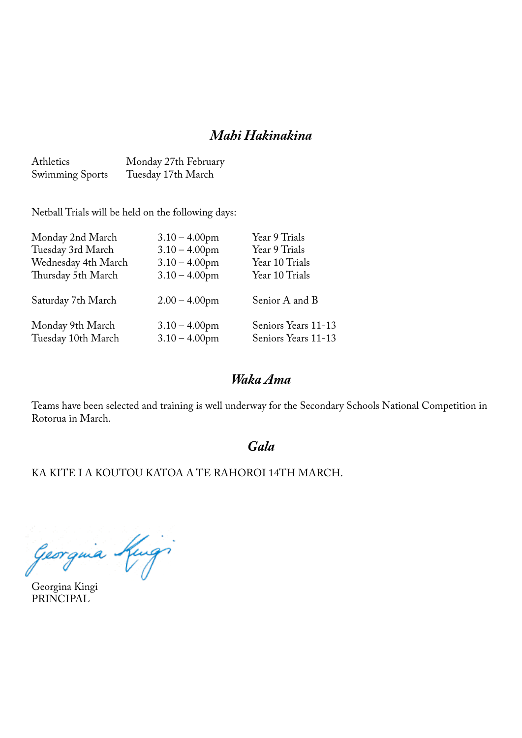## *Mahi Hakinakina*

| Athletics              | Monday 27th February |
|------------------------|----------------------|
| <b>Swimming Sports</b> | Tuesday 17th March   |

Netball Trials will be held on the following days:

| Monday 2nd March                       | $3.10 - 4.00$ pm                     | Year 9 Trials                              |
|----------------------------------------|--------------------------------------|--------------------------------------------|
| Tuesday 3rd March                      | $3.10 - 4.00$ pm                     | Year 9 Trials                              |
| Wednesday 4th March                    | $3.10 - 4.00$ pm                     | Year 10 Trials                             |
| Thursday 5th March                     | $3.10 - 4.00$ pm                     | Year 10 Trials                             |
| Saturday 7th March                     | $2.00 - 4.00$ pm                     | Senior A and B                             |
| Monday 9th March<br>Tuesday 10th March | $3.10 - 4.00$ pm<br>$3.10 - 4.00$ pm | Seniors Years 11-13<br>Seniors Years 11-13 |

### *Waka Ama*

Teams have been selected and training is well underway for the Secondary Schools National Competition in Rotorua in March.

#### *Gala*

#### KA KITE I A KOUTOU KATOA A TE RAHOROI 14TH MARCH.

Georgina King

Georgina Kingi PRINCIPAL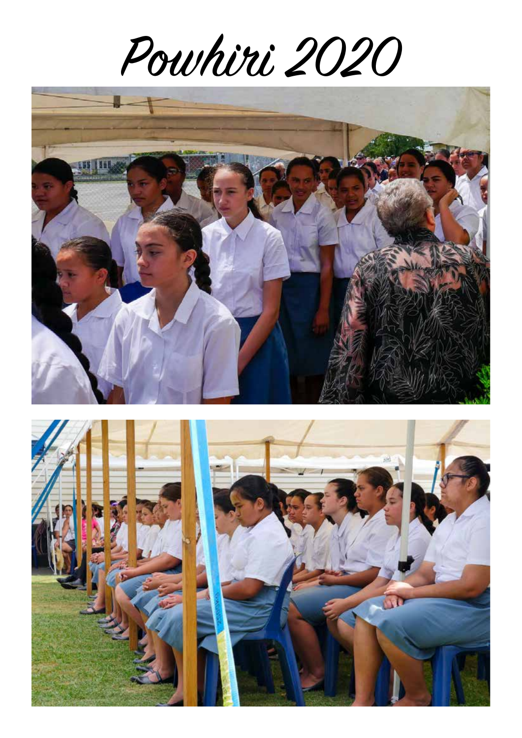Powhiri 2020



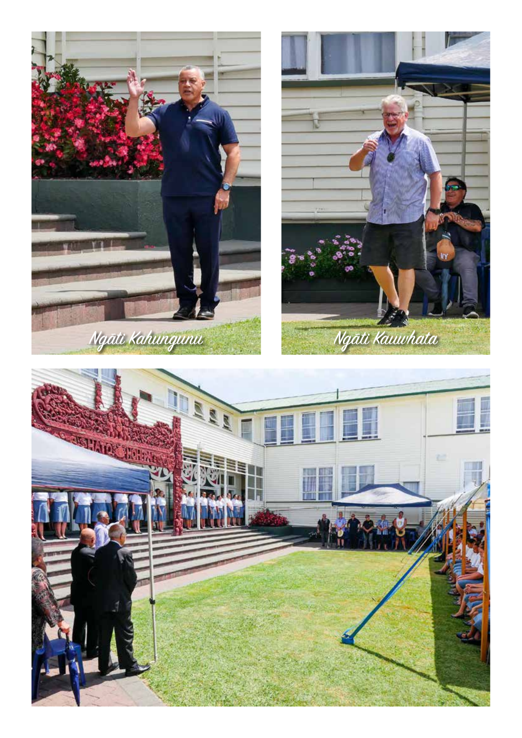![](_page_4_Picture_0.jpeg)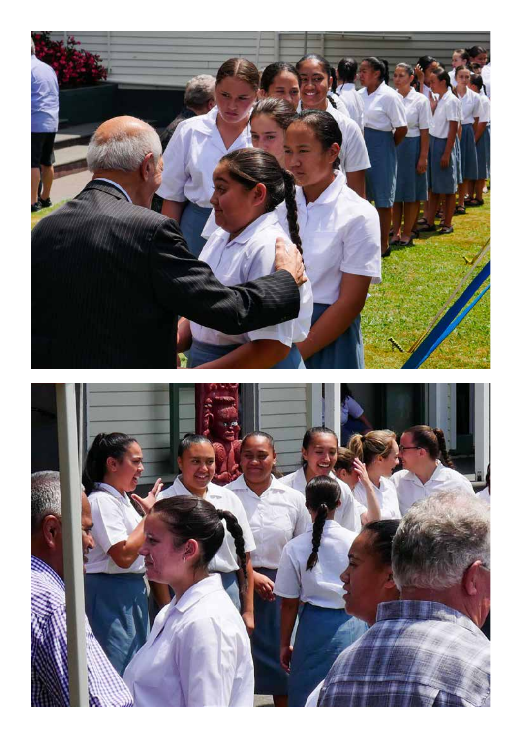![](_page_5_Picture_0.jpeg)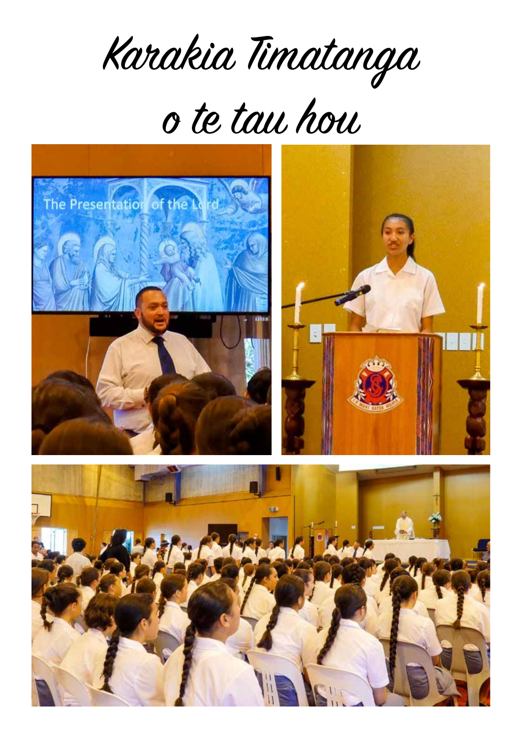Karakia Timatanga o te tau hou

![](_page_6_Picture_1.jpeg)

![](_page_6_Picture_2.jpeg)